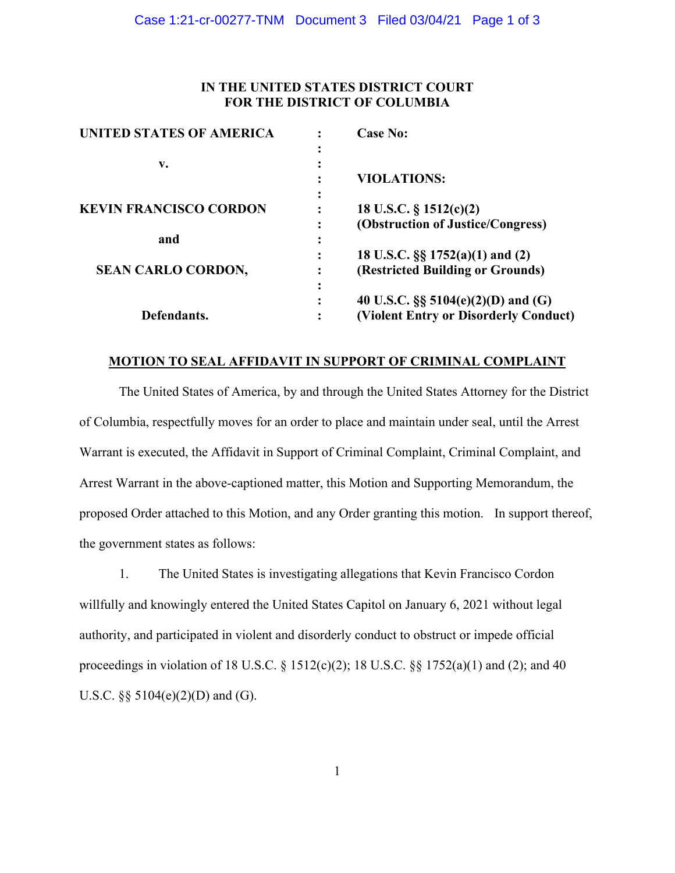# **IN THE UNITED STATES DISTRICT COURT FOR THE DISTRICT OF COLUMBIA**

|                | <b>Case No:</b>                        |
|----------------|----------------------------------------|
| ٠              |                                        |
|                |                                        |
|                | <b>VIOLATIONS:</b>                     |
|                | 18 U.S.C. $\S$ 1512(c)(2)              |
| ٠              | (Obstruction of Justice/Congress)      |
|                |                                        |
|                | 18 U.S.C. §§ 1752(a)(1) and (2)        |
|                | (Restricted Building or Grounds)       |
| ٠              |                                        |
| ٠<br>$\bullet$ | 40 U.S.C. $\S\S$ 5104(e)(2)(D) and (G) |
|                | (Violent Entry or Disorderly Conduct)  |
|                |                                        |

# **MOTION TO SEAL AFFIDAVIT IN SUPPORT OF CRIMINAL COMPLAINT**

The United States of America, by and through the United States Attorney for the District of Columbia, respectfully moves for an order to place and maintain under seal, until the Arrest Warrant is executed, the Affidavit in Support of Criminal Complaint, Criminal Complaint, and Arrest Warrant in the above-captioned matter, this Motion and Supporting Memorandum, the proposed Order attached to this Motion, and any Order granting this motion. In support thereof, the government states as follows:

1. The United States is investigating allegations that Kevin Francisco Cordon willfully and knowingly entered the United States Capitol on January 6, 2021 without legal authority, and participated in violent and disorderly conduct to obstruct or impede official proceedings in violation of 18 U.S.C.  $\S$  1512(c)(2); 18 U.S.C.  $\S$  $\S$  1752(a)(1) and (2); and 40 U.S.C.  $\S$ § 5104(e)(2)(D) and (G).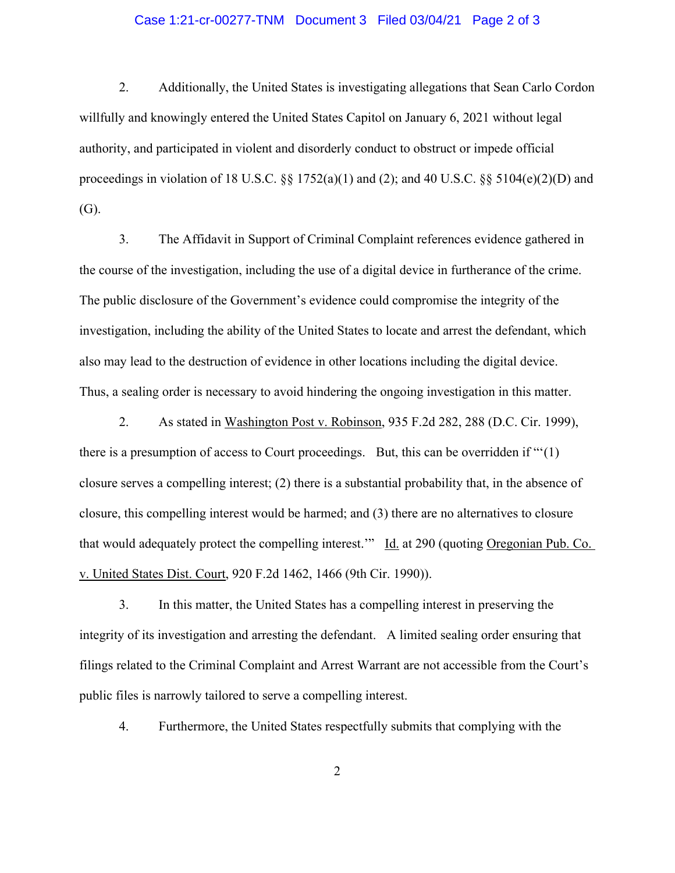#### Case 1:21-cr-00277-TNM Document 3 Filed 03/04/21 Page 2 of 3

2. Additionally, the United States is investigating allegations that Sean Carlo Cordon willfully and knowingly entered the United States Capitol on January 6, 2021 without legal authority, and participated in violent and disorderly conduct to obstruct or impede official proceedings in violation of 18 U.S.C. §§ 1752(a)(1) and (2); and 40 U.S.C. §§ 5104(e)(2)(D) and (G).

3. The Affidavit in Support of Criminal Complaint references evidence gathered in the course of the investigation, including the use of a digital device in furtherance of the crime. The public disclosure of the Government's evidence could compromise the integrity of the investigation, including the ability of the United States to locate and arrest the defendant, which also may lead to the destruction of evidence in other locations including the digital device. Thus, a sealing order is necessary to avoid hindering the ongoing investigation in this matter.

2. As stated in Washington Post v. Robinson, 935 F.2d 282, 288 (D.C. Cir. 1999), there is a presumption of access to Court proceedings. But, this can be overridden if "'(1) closure serves a compelling interest; (2) there is a substantial probability that, in the absence of closure, this compelling interest would be harmed; and (3) there are no alternatives to closure that would adequately protect the compelling interest." Id. at 290 (quoting Oregonian Pub. Co. v. United States Dist. Court, 920 F.2d 1462, 1466 (9th Cir. 1990)).

3. In this matter, the United States has a compelling interest in preserving the integrity of its investigation and arresting the defendant. A limited sealing order ensuring that filings related to the Criminal Complaint and Arrest Warrant are not accessible from the Court's public files is narrowly tailored to serve a compelling interest.

4. Furthermore, the United States respectfully submits that complying with the

2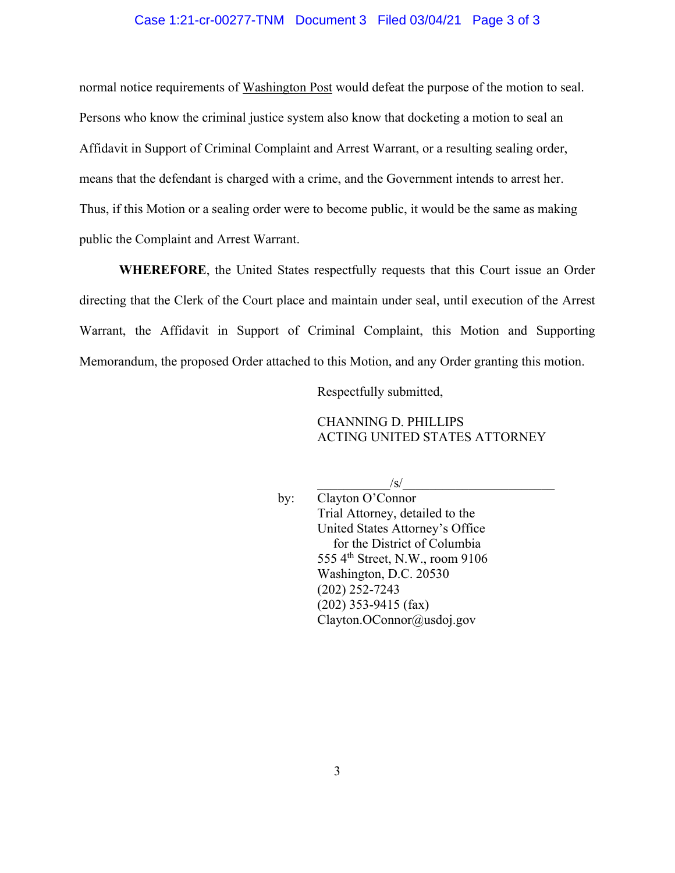#### Case 1:21-cr-00277-TNM Document 3 Filed 03/04/21 Page 3 of 3

normal notice requirements of Washington Post would defeat the purpose of the motion to seal. Persons who know the criminal justice system also know that docketing a motion to seal an Affidavit in Support of Criminal Complaint and Arrest Warrant, or a resulting sealing order, means that the defendant is charged with a crime, and the Government intends to arrest her. Thus, if this Motion or a sealing order were to become public, it would be the same as making public the Complaint and Arrest Warrant.

**WHEREFORE**, the United States respectfully requests that this Court issue an Order directing that the Clerk of the Court place and maintain under seal, until execution of the Arrest Warrant, the Affidavit in Support of Criminal Complaint, this Motion and Supporting Memorandum, the proposed Order attached to this Motion, and any Order granting this motion.

Respectfully submitted,

### CHANNING D. PHILLIPS ACTING UNITED STATES ATTORNEY

 $/\mathrm{s}/$ 

by: Clayton O'Connor Trial Attorney, detailed to the United States Attorney's Office for the District of Columbia 555 4th Street, N.W., room 9106 Washington, D.C. 20530 (202) 252-7243 (202) 353-9415 (fax) Clayton.OConnor@usdoj.gov